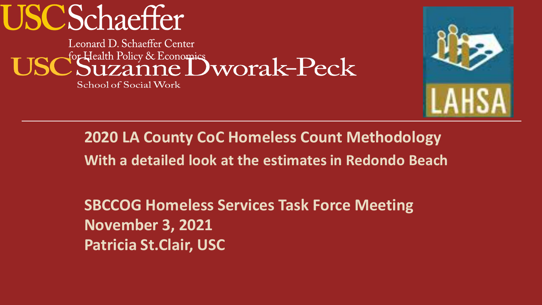# **USCSchaeffer**

Leonard D. Schaeffer Center for Health Policy & Economics<br>Suzanne Dworak-Peck

School of Social Work



**2020 LA County CoC Homeless Count Methodology With a detailed look at the estimates in Redondo Beach**

**SBCCOG Homeless Services Task Force Meeting November 3, 2021 Patricia St.Clair, USC**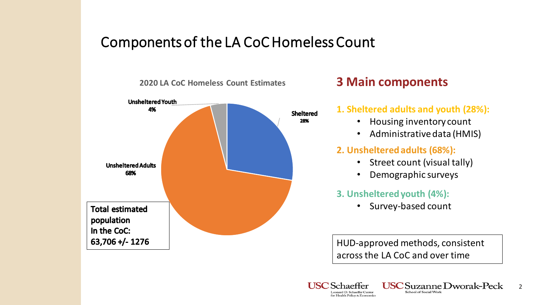### Components of the LA CoC Homeless Count



### **3 Main components**

#### **1. Sheltered adults and youth (28%):**

- Housing inventory count
- Administrative data (HMIS)

#### **2. Unsheltered adults (68%):**

- Street count (visual tally)
- Demographic surveys

#### **3. Unsheltered youth (4%):**

• Survey-based count

HUD-approved methods, consistent across the LA CoC and over time

School of Social Work

2

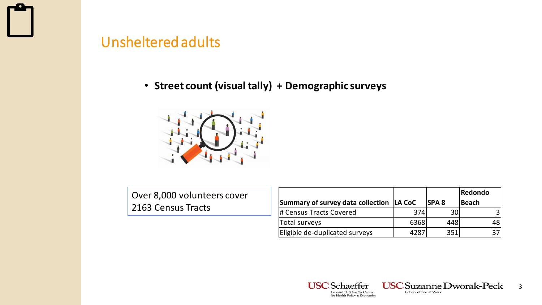

### Unsheltered adults

### • **Street count (visual tally) + Demographic surveys**



Over 8,000 volunteers cover **2163 Census Tracts** 

|                                            |      |             | Redondo      |
|--------------------------------------------|------|-------------|--------------|
| Summary of survey data collection   LA CoC |      | <b>SPA8</b> | <b>Beach</b> |
| # Census Tracts Covered                    | 374  | 30          |              |
| Total surveys                              | 6368 | 448         | 48           |
| Eligible de-duplicated surveys             | 4287 | 351         |              |





3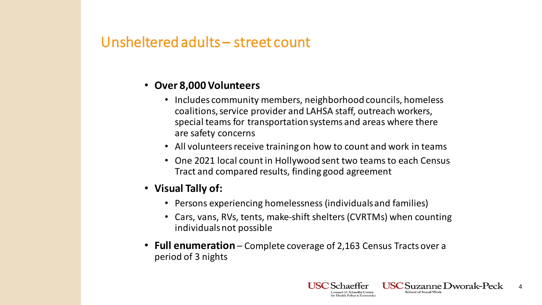### Unsheltered adults – street count

#### • **Over 8,000 Volunteers**

- Includes community members, neighborhood councils, homeless coalitions, service provider and LAHSA staff, outreach workers, special teams for transportation systems and areas where there are safety concerns
- All volunteers receive training on how to count and work in teams
- One 2021 local count in Hollywood sent two teams to each Census Tract and compared results, finding good agreement
- **Visual Tally of:**
	- Persons experiencing homelessness (individuals and families)
	- Cars, vans, RVs, tents, make-shift shelters (CVRTMs) when counting individuals not possible
- **Full enumeration**  Complete coverage of 2,163 Census Tracts over a period of 3 nights

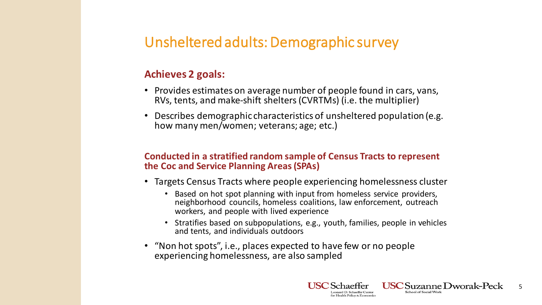### Unsheltered adults: Demographic survey

#### **Achieves 2 goals:**

- Provides estimates on average number of people found in cars, vans, RVs, tents, and make-shift shelters (CVRTMs) (i.e. the multiplier)
- Describes demographic characteristics of unsheltered population (e.g. how many men/women; veterans; age; etc.)

#### **Conducted in a stratified random sample of Census Tracts to represent the Coc and Service Planning Areas (SPAs)**

- Targets Census Tracts where people experiencing homelessness cluster
	- Based on hot spot planning with input from homeless service providers, neighborhood councils, homeless coalitions, law enforcement, outreach workers, and people with lived experience
	- Stratifies based on subpopulations, e.g., youth, families, people in vehicles and tents, and individuals outdoors
- "Non hot spots", i.e., places expected to have few or no people experiencing homelessness, are also sampled

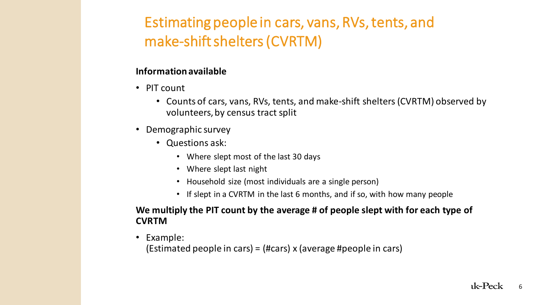### Estimating people in cars, vans, RVs, tents, and make-shift shelters (CVRTM)

#### **Information available**

- PIT count
	- Counts of cars, vans, RVs, tents, and make-shift shelters (CVRTM) observed by volunteers, by census tract split
- Demographic survey
	- Questions ask:
		- Where slept most of the last 30 days
		- Where slept last night
		- Household size (most individuals are a single person)
		- If slept in a CVRTM in the last 6 months, and if so, with how many people

#### **We multiply the PIT count by the average # of people slept with for each type of CVRTM**

• Example:

(Estimated people in cars) = (#cars) x (average #people in cars)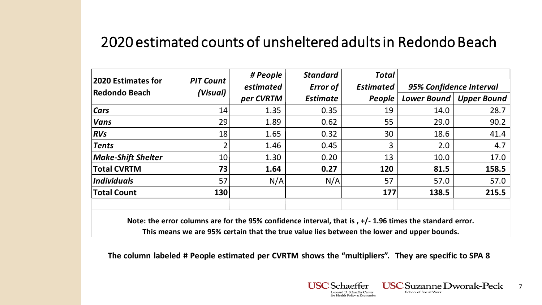### 2020 estimated counts of unsheltered adults in Redondo Beach

| <b>2020 Estimates for</b><br>Redondo Beach | <b>PIT Count</b><br>(Visual) | # People                     | <b>Standard</b> | <b>Total</b>     |                         |                    |
|--------------------------------------------|------------------------------|------------------------------|-----------------|------------------|-------------------------|--------------------|
|                                            |                              | estimated<br><b>Error of</b> |                 | <b>Estimated</b> | 95% Confidence Interval |                    |
|                                            |                              | per CVRTM                    | <b>Estimate</b> | People           | <b>Lower Bound</b>      | <b>Upper Bound</b> |
| <b>Cars</b>                                | 14                           | 1.35                         | 0.35            | 19               | 14.0                    | 28.7               |
| <b>Vans</b>                                | 29                           | 1.89                         | 0.62            | 55               | 29.0                    | 90.2               |
| RVs                                        | 18                           | 1.65                         | 0.32            | 30               | 18.6                    | 41.4               |
| Tents                                      |                              | 1.46                         | 0.45            | 3                | 2.0                     | 4.7                |
| <b>Make-Shift Shelter</b>                  | 10                           | 1.30                         | 0.20            | 13               | 10.0                    | 17.0               |
| <b>Total CVRTM</b>                         | 73                           | 1.64                         | 0.27            | 120              | 81.5                    | 158.5              |
| <i>Individuals</i>                         | 57                           | N/A                          | N/A             | 57               | 57.0                    | 57.0               |
| <b>Total Count</b>                         | <b>130</b>                   |                              |                 | 177              | 138.5                   | 215.5              |
|                                            |                              |                              |                 |                  |                         |                    |

**Note: the error columns are for the 95% confidence interval, that is , +/- 1.96 times the standard error. This means we are 95% certain that the true value lies between the lower and upper bounds.**

**The column labeled # People estimated per CVRTM shows the "multipliers". They are specific to SPA 8**